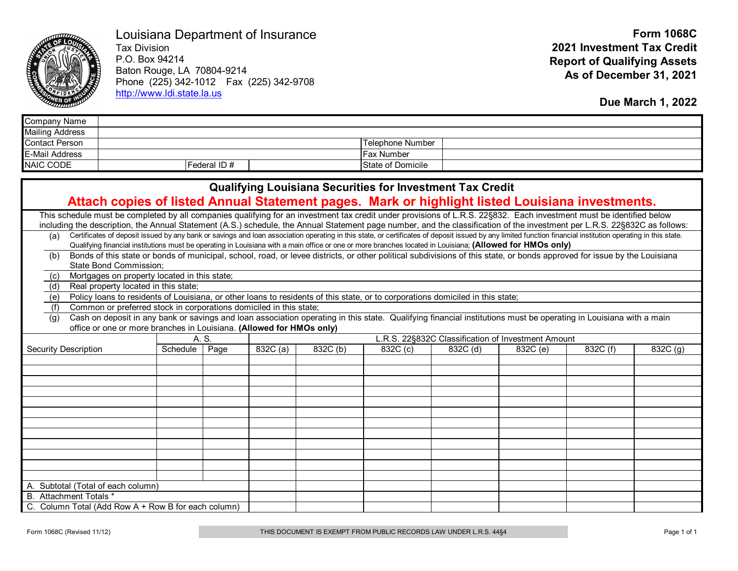

Louisiana Department of Insurance

Tax Division P.O. Box 94214 Baton Rouge, LA 70804-9214 Phone (225) 342-1012 Fax (225) 342-9708 [http://www.ldi.state.la.us](http://www.ldi.state.la.us/)

**Due March 1, 2022**

| Company Name           |              |                   |  |
|------------------------|--------------|-------------------|--|
| <b>Mailing Address</b> |              |                   |  |
| <b>Contact Person</b>  |              | Telephone Number  |  |
| <b>E-Mail Address</b>  |              | IFax Number       |  |
| <b>NAIC CODE</b>       | Federal ID # | State of Domicile |  |

| <b>Qualifying Louisiana Securities for Investment Tax Credit</b>                                                                                                                                                                                                                                                                                                                 |                                                             |      |          |          |          |          |          |          |          |  |  |  |  |
|----------------------------------------------------------------------------------------------------------------------------------------------------------------------------------------------------------------------------------------------------------------------------------------------------------------------------------------------------------------------------------|-------------------------------------------------------------|------|----------|----------|----------|----------|----------|----------|----------|--|--|--|--|
| Attach copies of listed Annual Statement pages. Mark or highlight listed Louisiana investments.                                                                                                                                                                                                                                                                                  |                                                             |      |          |          |          |          |          |          |          |  |  |  |  |
| This schedule must be completed by all companies qualifying for an investment tax credit under provisions of L.R.S. 22§832. Each investment must be identified below<br>including the description, the Annual Statement (A.S.) schedule, the Annual Statement page number, and the classification of the investment per L.R.S. 22§832C as follows:                               |                                                             |      |          |          |          |          |          |          |          |  |  |  |  |
| Certificates of deposit issued by any bank or savings and loan association operating in this state, or certificates of deposit issued by any limited function financial institution operating in this state.<br>(a)<br>Qualifying financial institutions must be operating in Louisiana with a main office or one or more branches located in Louisiana; (Allowed for HMOs only) |                                                             |      |          |          |          |          |          |          |          |  |  |  |  |
| Bonds of this state or bonds of municipal, school, road, or levee districts, or other political subdivisions of this state, or bonds approved for issue by the Louisiana<br>(b)<br>State Bond Commission;                                                                                                                                                                        |                                                             |      |          |          |          |          |          |          |          |  |  |  |  |
| Mortgages on property located in this state;<br>(c)                                                                                                                                                                                                                                                                                                                              |                                                             |      |          |          |          |          |          |          |          |  |  |  |  |
| Real property located in this state;<br>(d)                                                                                                                                                                                                                                                                                                                                      |                                                             |      |          |          |          |          |          |          |          |  |  |  |  |
| Policy loans to residents of Louisiana, or other loans to residents of this state, or to corporations domiciled in this state;<br>(e)                                                                                                                                                                                                                                            |                                                             |      |          |          |          |          |          |          |          |  |  |  |  |
| Common or preferred stock in corporations domiciled in this state;<br>(f)                                                                                                                                                                                                                                                                                                        |                                                             |      |          |          |          |          |          |          |          |  |  |  |  |
| Cash on deposit in any bank or savings and loan association operating in this state. Qualifying financial institutions must be operating in Louisiana with a main<br>(g)<br>office or one or more branches in Louisiana. (Allowed for HMOs only)                                                                                                                                 |                                                             |      |          |          |          |          |          |          |          |  |  |  |  |
|                                                                                                                                                                                                                                                                                                                                                                                  | A. S.<br>L.R.S. 22§832C Classification of Investment Amount |      |          |          |          |          |          |          |          |  |  |  |  |
| <b>Security Description</b>                                                                                                                                                                                                                                                                                                                                                      | Schedule                                                    | Page | 832C (a) | 832C (b) | 832C (c) | 832C (d) | 832C (e) | 832C (f) | 832C (g) |  |  |  |  |
|                                                                                                                                                                                                                                                                                                                                                                                  |                                                             |      |          |          |          |          |          |          |          |  |  |  |  |
|                                                                                                                                                                                                                                                                                                                                                                                  |                                                             |      |          |          |          |          |          |          |          |  |  |  |  |
|                                                                                                                                                                                                                                                                                                                                                                                  |                                                             |      |          |          |          |          |          |          |          |  |  |  |  |
|                                                                                                                                                                                                                                                                                                                                                                                  |                                                             |      |          |          |          |          |          |          |          |  |  |  |  |
|                                                                                                                                                                                                                                                                                                                                                                                  |                                                             |      |          |          |          |          |          |          |          |  |  |  |  |
|                                                                                                                                                                                                                                                                                                                                                                                  |                                                             |      |          |          |          |          |          |          |          |  |  |  |  |
|                                                                                                                                                                                                                                                                                                                                                                                  |                                                             |      |          |          |          |          |          |          |          |  |  |  |  |
|                                                                                                                                                                                                                                                                                                                                                                                  |                                                             |      |          |          |          |          |          |          |          |  |  |  |  |
|                                                                                                                                                                                                                                                                                                                                                                                  |                                                             |      |          |          |          |          |          |          |          |  |  |  |  |
|                                                                                                                                                                                                                                                                                                                                                                                  |                                                             |      |          |          |          |          |          |          |          |  |  |  |  |
|                                                                                                                                                                                                                                                                                                                                                                                  |                                                             |      |          |          |          |          |          |          |          |  |  |  |  |
|                                                                                                                                                                                                                                                                                                                                                                                  |                                                             |      |          |          |          |          |          |          |          |  |  |  |  |
| A. Subtotal (Total of each column)                                                                                                                                                                                                                                                                                                                                               |                                                             |      |          |          |          |          |          |          |          |  |  |  |  |
| B. Attachment Totals *                                                                                                                                                                                                                                                                                                                                                           |                                                             |      |          |          |          |          |          |          |          |  |  |  |  |
| C. Column Total (Add Row A + Row B for each column)                                                                                                                                                                                                                                                                                                                              |                                                             |      |          |          |          |          |          |          |          |  |  |  |  |